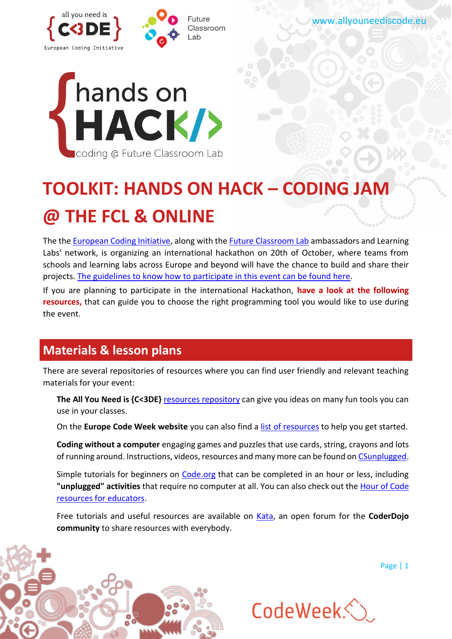



# **TOOLKIT: HANDS ON HACK – CODING JAM @ THE FCL & ONLINE**

The the [European Coding Initiative,](http://www.allyouneediscode.eu/news/details?articleId=256607) along with the [Future Classroom Lab](http://fcl.eun.org/) ambassadors and Learning Labs' network, is organizing an international hackathon on 20th of October, where teams from schools and learning labs across Europe and beyond will have the chance to build and share their projects. [The guidelines to know how to participate in this event can be found here.](http://www.allyouneediscode.eu/news/details?articleId=256607)

If you are planning to participate in the international Hackathon, **have a look at the following resources,** that can guide you to choose the right programming tool you would like to use during the event.

## **Materials & lesson plans**

There are several repositories of resources where you can find user friendly and relevant teaching materials for your event:

The All You Need is {C<3DE} [resources repository](http://www.allyouneediscode.eu/teachers) can give you ideas on many fun tools you can use in your classes.

On the **Europe Code Week website** you can also find a *list of resources* to help you get started.

**Coding without a computer** engaging games and puzzles that use cards, string, crayons and lots of running around. Instructions, videos, resources and many more can be found on [CSunplugged.](http://csunplugged.org/)

Simple tutorials for beginners on [Code.org](https://code.org/learn) that can be completed in an hour or less, including **"unplugged" activities** that require no computer at all. You can also check out the [Hour of Code](https://code.org/educate)  [resources for educators.](https://code.org/educate)

Free tutorials and useful resources are available on [Kata,](http://kata.coderdojo.com/wiki/Learning_Resource) an open forum for the **CoderDojo community** to share resources with everybody.

Page | 1

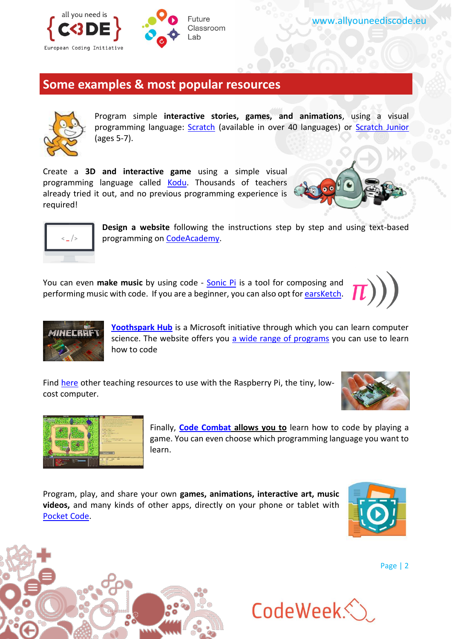

#### **Some examples & most popular resources**



Program simple **interactive stories, games, and animations**, using a visual programming language: **Scratch** (available in over 40 languages) or **Scratch Junior** (ages 5-7).

Create a **3D and interactive game** using a simple visual programming language called [Kodu.](http://www.kodugamelab.com/) Thousands of teachers already tried it out, and no previous programming experience is required!





**Design a website** following the instructions step by step and using text-based programming on [CodeAcademy.](https://www.codecademy.com/skills/make-a-website)

You can even **make music** by using code - [Sonic Pi](http://sonic-pi.net/) is a tool for composing and performing music with code. If you are a beginner, you can also opt fo[r earsKetch.](http://earsketch.gatech.edu/landing/)





**[Yoothspark Hub](https://www.microsoft.com/about/philanthropies/youthspark/youthsparkhub/)** is a Microsoft initiative through which you can learn computer science. The website offers you [a wide range of programs](https://www.microsoft.com/about/philanthropies/youthspark/youthsparkhub/programs/) you can use to learn how to code

Find [here](https://www.raspberrypi.org/resources/teach/) other teaching resources to use with the Raspberry Pi, the tiny, lowcost computer.





Finally, **[Code Combat](https://codecombat.com/) allows you to** learn how to code by playing a game. You can even choose which programming language you want to learn.

Program, play, and share your own **games, animations, interactive art, music videos,** and many kinds of other apps, directly on your phone or tablet with [Pocket Code.](http://www.catrobat.org/)